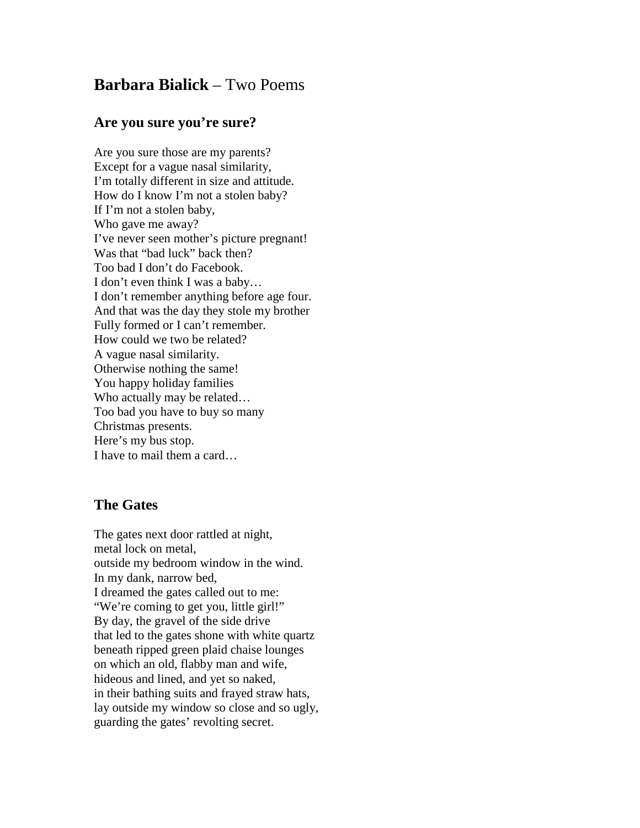## **Barbara Bialick** – Two Poems

## **Are you sure you're sure?**

Are you sure those are my parents? Except for a vague nasal similarity, I'm totally different in size and attitude. How do I know I'm not a stolen baby? If I'm not a stolen baby, Who gave me away? I've never seen mother's picture pregnant! Was that "bad luck" back then? Too bad I don't do Facebook. I don't even think I was a baby… I don't remember anything before age four. And that was the day they stole my brother Fully formed or I can't remember. How could we two be related? A vague nasal similarity. Otherwise nothing the same! You happy holiday families Who actually may be related… Too bad you have to buy so many Christmas presents. Here's my bus stop. I have to mail them a card…

## **The Gates**

The gates next door rattled at night, metal lock on metal, outside my bedroom window in the wind. In my dank, narrow bed, I dreamed the gates called out to me: "We're coming to get you, little girl!" By day, the gravel of the side drive that led to the gates shone with white quartz beneath ripped green plaid chaise lounges on which an old, flabby man and wife, hideous and lined, and yet so naked, in their bathing suits and frayed straw hats, lay outside my window so close and so ugly, guarding the gates' revolting secret.